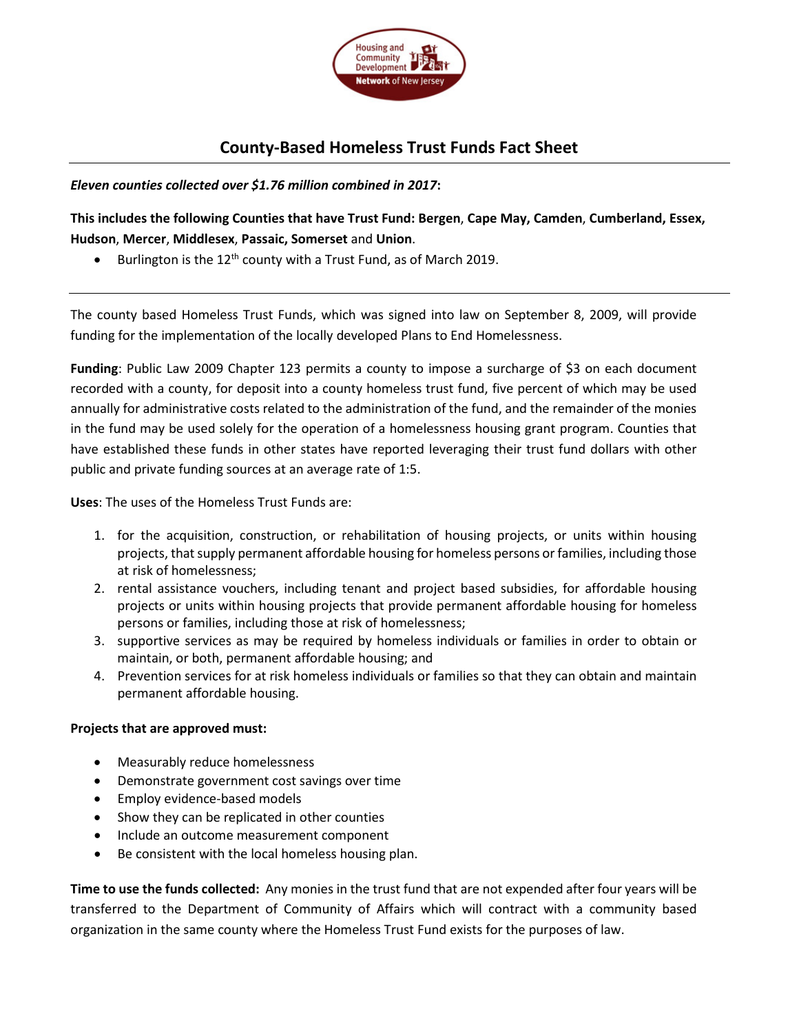

## **County-Based Homeless Trust Funds Fact Sheet**

*Eleven counties collected over \$1.76 million combined in 2017***:** 

**This includes the following Counties that have Trust Fund: Bergen**, **Cape May, Camden**, **Cumberland, Essex, Hudson**, **Mercer**, **Middlesex**, **Passaic, Somerset** and **Union**.

Burlington is the  $12<sup>th</sup>$  county with a Trust Fund, as of March 2019.

The county based Homeless Trust Funds, which was signed into law on September 8, 2009, will provide funding for the implementation of the locally developed Plans to End Homelessness.

**Funding**: Public Law 2009 Chapter 123 permits a county to impose a surcharge of \$3 on each document recorded with a county, for deposit into a county homeless trust fund, five percent of which may be used annually for administrative costs related to the administration of the fund, and the remainder of the monies in the fund may be used solely for the operation of a homelessness housing grant program. Counties that have established these funds in other states have reported leveraging their trust fund dollars with other public and private funding sources at an average rate of 1:5.

**Uses**: The uses of the Homeless Trust Funds are:

- 1. for the acquisition, construction, or rehabilitation of housing projects, or units within housing projects, that supply permanent affordable housing for homeless persons or families, including those at risk of homelessness;
- 2. rental assistance vouchers, including tenant and project based subsidies, for affordable housing projects or units within housing projects that provide permanent affordable housing for homeless persons or families, including those at risk of homelessness;
- 3. supportive services as may be required by homeless individuals or families in order to obtain or maintain, or both, permanent affordable housing; and
- 4. Prevention services for at risk homeless individuals or families so that they can obtain and maintain permanent affordable housing.

## **Projects that are approved must:**

- Measurably reduce homelessness
- Demonstrate government cost savings over time
- Employ evidence-based models
- Show they can be replicated in other counties
- Include an outcome measurement component
- Be consistent with the local homeless housing plan.

**Time to use the funds collected:** Any monies in the trust fund that are not expended after four years will be transferred to the Department of Community of Affairs which will contract with a community based organization in the same county where the Homeless Trust Fund exists for the purposes of law.